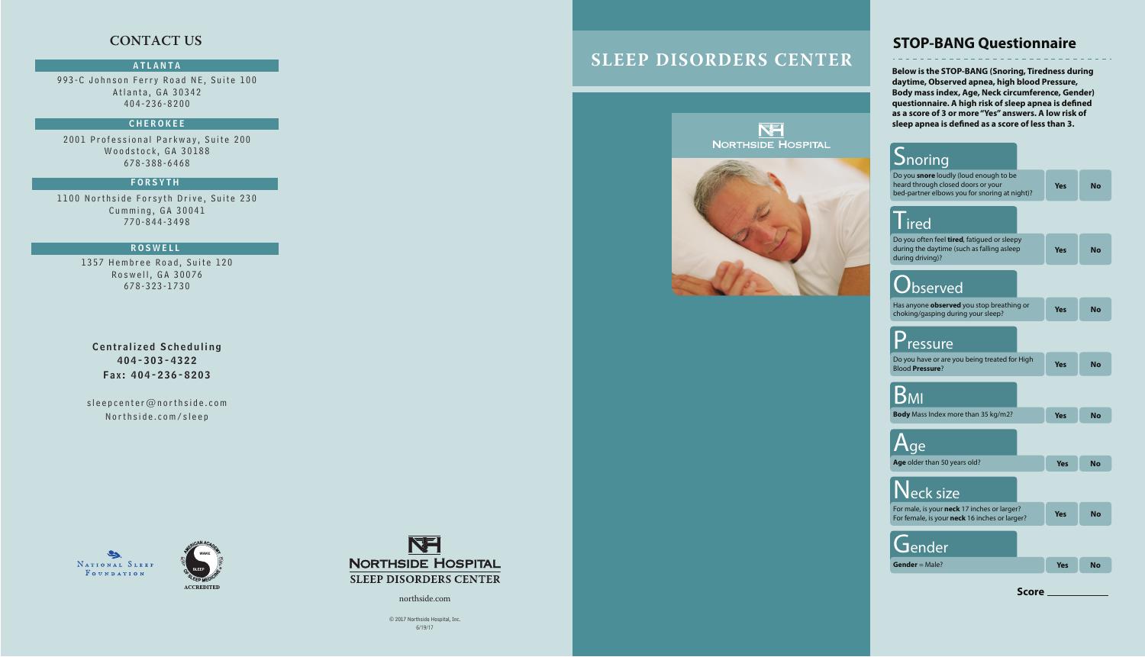993-C Johnson Ferry Road NE, Suite 100 Atlanta, GA 30342 404-236-8200

### **CHEROKEE**

2001 Professional Parkway, Suite 200 Woodstock, GA 30188 678-388-6468

1100 Northside Forsyth Drive, Suite 230 Cumming, GA 30041 770-844-3498

> 1357 Hembree Road, Suite 120 Roswell, GA 30076 678-323-1730

Centralized Scheduling 404-303-4322 Fax : 404-236-8203

sleepcenter@northside.com Northside.com/sleep







northside.com

# **SLEEP DISORDERS CENTER**





### ATLANTA

### FORSYTH

### ROSWELL

**Below is the STOP-BANG (Snoring, Tiredness during daytime, Observed apnea, high blood Pressure, Body mass index, Age, Neck circumference, Gender)**  questionnaire. A high risk of sleep apnea is defined **as a score of 3 or more "Yes" answers. A low risk of**  sleep apnea is defined as a score of less than 3.

© 2017 Northside Hospital, Inc. 6/19/17



# **STOP-BANG Questionnaire**

# **CONTACT US**